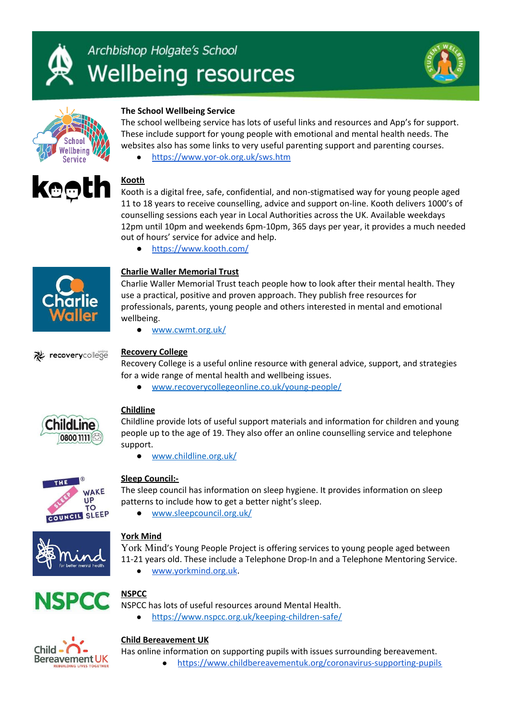





## **The School Wellbeing Service**

The school wellbeing service has lots of useful links and resources and App's for support. These include support for young people with emotional and mental health needs. The websites also has some links to very useful parenting support and parenting courses.

● <https://www.yor-ok.org.uk/sws.htm>



# **Kooth**

Kooth is a digital free, safe, confidential, and non-stigmatised way for young people aged 11 to 18 years to receive counselling, advice and support on-line. Kooth delivers 1000's of counselling sessions each year in Local Authorities across the UK. Available weekdays 12pm until 10pm and weekends 6pm-10pm, 365 days per year, it provides a much needed out of hours' service for advice and help.

<https://www.kooth.com/>



#### **Charlie Waller Memorial Trust**

Charlie Waller Memorial Trust teach people how to look after their mental health. They use a practical, positive and proven approach. They publish free resources for professionals, parents, young people and others interested in mental and emotional wellbeing.

● [www.cwmt.org.uk/](http://www.cwmt.org.uk/)



#### **Recovery College**

Recovery College is a useful online resource with general advice, support, and strategies for a wide range of mental health and wellbeing issues.

● [www.recoverycollegeonline.co.uk/young-people/](http://www.recoverycollegeonline.co.uk/young-people/)



#### **Childline**

Childline provide lots of useful support materials and information for children and young people up to the age of 19. They also offer an online counselling service and telephone support.

● [www.childline.org.uk/](http://www.childline.org.uk/)



#### **Sleep Council:-**

The sleep council has information on sleep hygiene. It provides information on sleep patterns to include how to get a better night's sleep.

[www.sleepcouncil.org.uk/](http://www.sleepcouncil.org.uk/)



## **York Mind**

[York Mind](https://www.yorkmind.org.uk/how-we-help/young-peoples-service-covid-19-response/)'s Young People Project is offering services to young people aged between 11-21 years old. These include a Telephone Drop-In and a Telephone Mentoring Service.

[www.yorkmind.org.uk.](https://www.yorkmind.org.uk/how-we-help/young-peoples-service-covid-19-response/)



# **NSPCC**

NSPCC has lots of useful resources around Mental Health.

[https://www.nspcc.org.uk/keeping-children-safe/](https://www.nspcc.org.uk/keeping-children-safe/coronavirus-advice-suppport-children-families-parents/)



#### **Child [Bereavement](https://www.childbereavementuk.org/coronavirus-supporting-pupils) UK**

Has online information on supporting pupils with issues surrounding bereavement.

<https://www.childbereavementuk.org/coronavirus-supporting-pupils>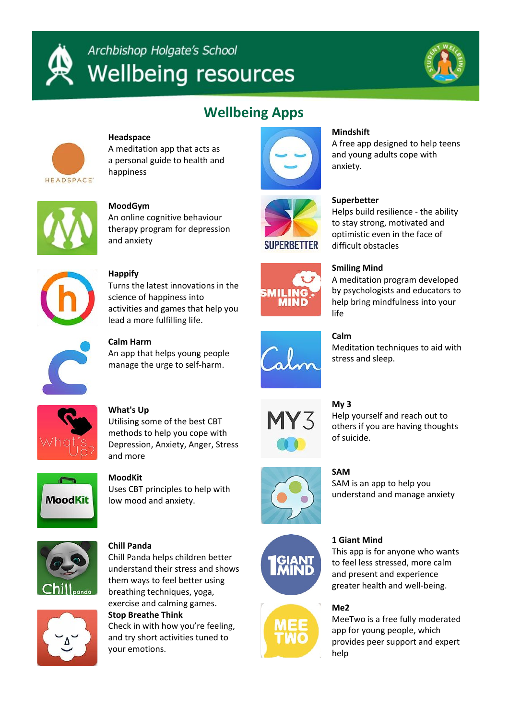



# **Wellbeing Apps**



## **Headspace**

A meditation app that acts as a personal guide to health and happiness



# **Mindshift**

A free app designed to help teens and young adults cope with anxiety.



## **MoodGym**

An online cognitive behaviour therapy program for depression and anxiety



## **Superbetter**

Helps build resilience - the ability to stay strong, motivated and optimistic even in the face of difficult obstacles



**Happify** Turns the latest innovations in the science of happiness into

activities and games that help you

lead a more fulfilling life.

**SMILING** MIND

# **Smiling Mind**

A meditation program developed by psychologists and educators to help bring mindfulness into your life



**Calm Harm**

An app that helps young people manage the urge to self-harm.



# **Calm**

Meditation techniques to aid with stress and sleep.



# **What's Up**

Utilising some of the best CBT methods to help you cope with Depression, Anxiety, Anger, Stress and more



# **MoodKit**

Uses CBT principles to help with low mood and anxiety.



## **Chill Panda**

Chill Panda helps children better understand their stress and shows them ways to feel better using breathing techniques, yoga, exercise and calming games.

# **Stop Breathe Think**

Check in with how you're feeling, and try short activities tuned to your emotions.



# **My 3**

Help yourself and reach out to others if you are having thoughts of suicide.



# **SAM**

SAM is an app to help you understand and manage anxiety





# **1 Giant Mind**

This app is for anyone who wants to feel less stressed, more calm and present and experience greater health and well-being.

## **Me2**

MeeTwo is a free fully moderated app for young people, which provides peer support and expert help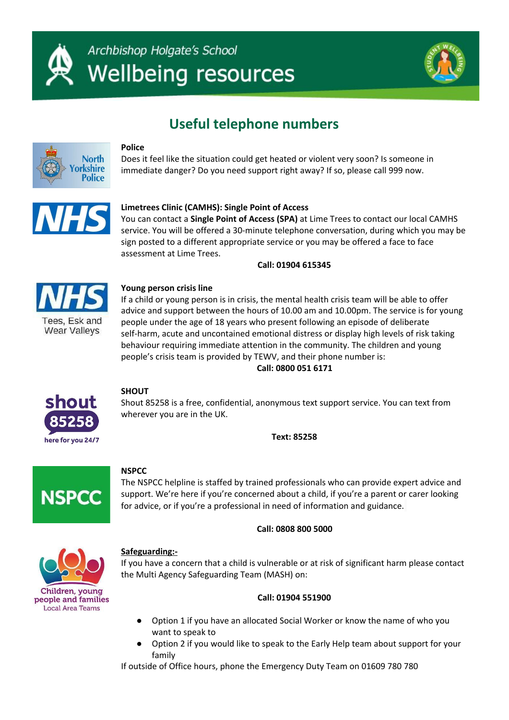



# **Useful telephone numbers**



#### **Police**

Does it feel like the situation could get heated or violent very soon? Is someone in immediate danger? Do you need support right away? If so, please call 999 now.



#### **Limetrees Clinic (CAMHS): Single Point of Access**

You can contact a **Single Point of Access (SPA)** at Lime Trees to contact our local CAMHS service. You will be offered a 30-minute telephone conversation, during which you may be sign posted to a different appropriate service or you may be offered a face to face assessment at Lime Trees.

**Call: 01904 615345**



#### **Young person crisis line**

If a child or young person is in crisis, the mental health crisis team will be able to offer advice and support between the hours of 10.00 am and 10.00pm. The service is for young people under the age of 18 years who present following an episode of deliberate self-harm, acute and uncontained emotional distress or display high levels of risk taking behaviour requiring immediate attention in the community. The children and young people's crisis team is provided by TEWV, and their phone number is:

**Call: 0800 051 6171**



#### **SHOUT**

Shout 85258 is a free, confidential, anonymous text support service. You can text from wherever you are in the UK.

**Text: 85258**



#### **NSPCC**

The NSPCC helpline is staffed by trained professionals who can provide expert advice and support. We're here if you're concerned about a child, if you're a parent or carer looking for advice, or if you're a professional in need of information and guidance.

#### **Call: 0808 800 5000**



#### **Safeguarding:-**

If you have a concern that a child is vulnerable or at risk of significant harm please contact the Multi Agency Safeguarding Team (MASH) on:

#### **Call: 01904 551900**

- Option 1 if you have an allocated Social Worker or know the name of who you want to speak to
- Option 2 if you would like to speak to the Early Help team about support for your family

If outside of Office hours, phone the Emergency Duty Team on 01609 780 780